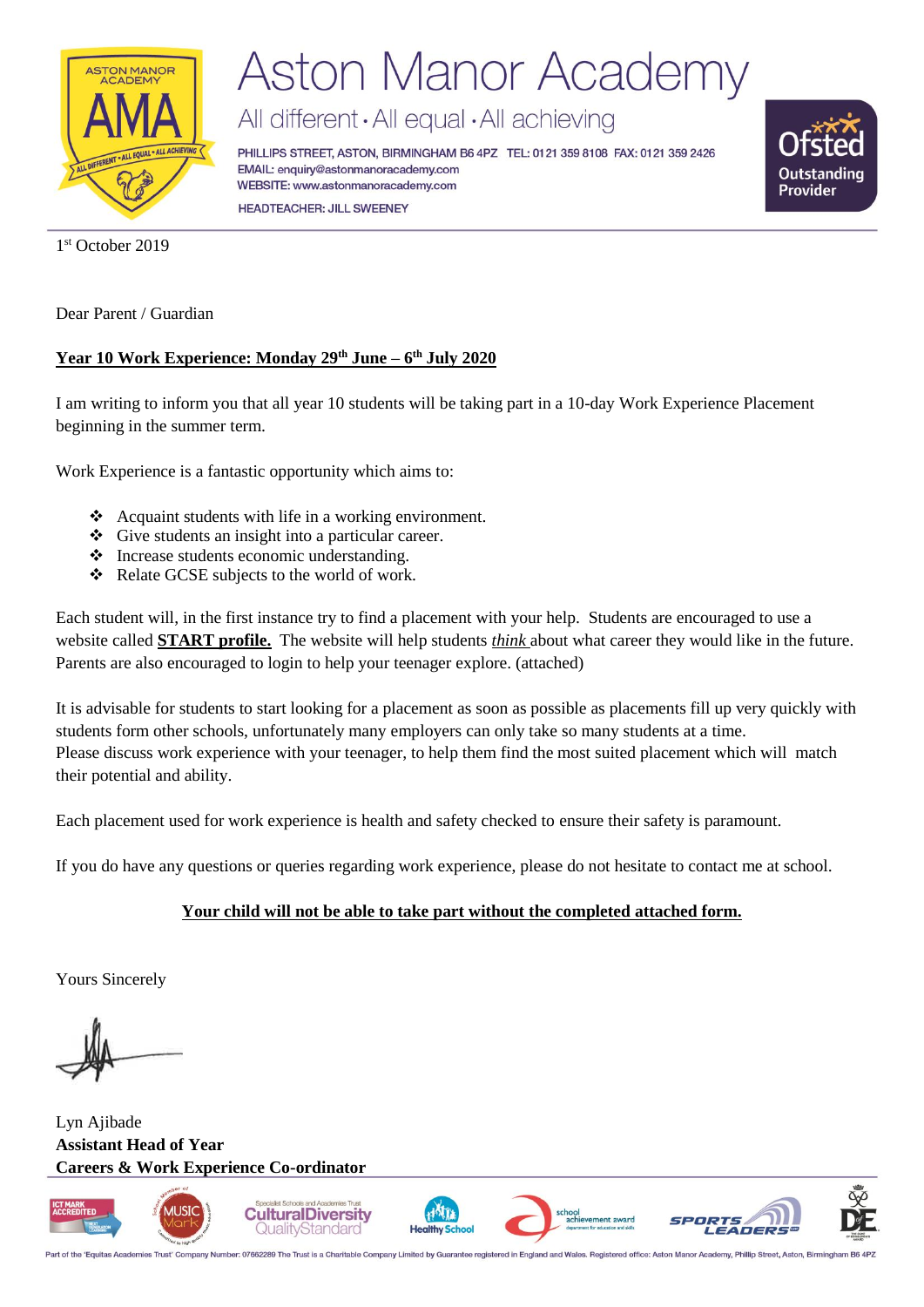

## **Aston Manor Academy**

All different · All equal · All achieving

PHILLIPS STREET, ASTON, BIRMINGHAM B6 4PZ TEL: 0121 359 8108 FAX: 0121 359 2426 EMAIL: enquiry@astonmanoracademy.com WEBSITE: www.astonmanoracademy.com **HEADTEACHER: JILL SWEENEY** 



1 st October 2019

Dear Parent / Guardian

#### **Year 10 Work Experience: Monday 29th June – 6 th July 2020**

I am writing to inform you that all year 10 students will be taking part in a 10-day Work Experience Placement beginning in the summer term.

Work Experience is a fantastic opportunity which aims to:

- ❖ Acquaint students with life in a working environment.
- ❖ Give students an insight into a particular career.
- ❖ Increase students economic understanding.
- ❖ Relate GCSE subjects to the world of work.

Each student will, in the first instance try to find a placement with your help. Students are encouraged to use a website called **START profile.** The website will help students *think* about what career they would like in the future. Parents are also encouraged to login to help your teenager explore. (attached)

It is advisable for students to start looking for a placement as soon as possible as placements fill up very quickly with students form other schools, unfortunately many employers can only take so many students at a time. Please discuss work experience with your teenager, to help them find the most suited placement which will match their potential and ability.

Each placement used for work experience is health and safety checked to ensure their safety is paramount.

If you do have any questions or queries regarding work experience, please do not hesitate to contact me at school.

#### **Your child will not be able to take part without the completed attached form.**

Yours Sincerely

Lyn Ajibade **Assistant Head of Year Careers & Work Experience Co-ordinator**



Part of the 'Equitas Academies Trust' Company Number: 07662289 The Trust is a Charitable Company Limited by Guarantee registered in England and Wales. Registered office: Aston Manor Acad my, Phillip Street, Aston, Birming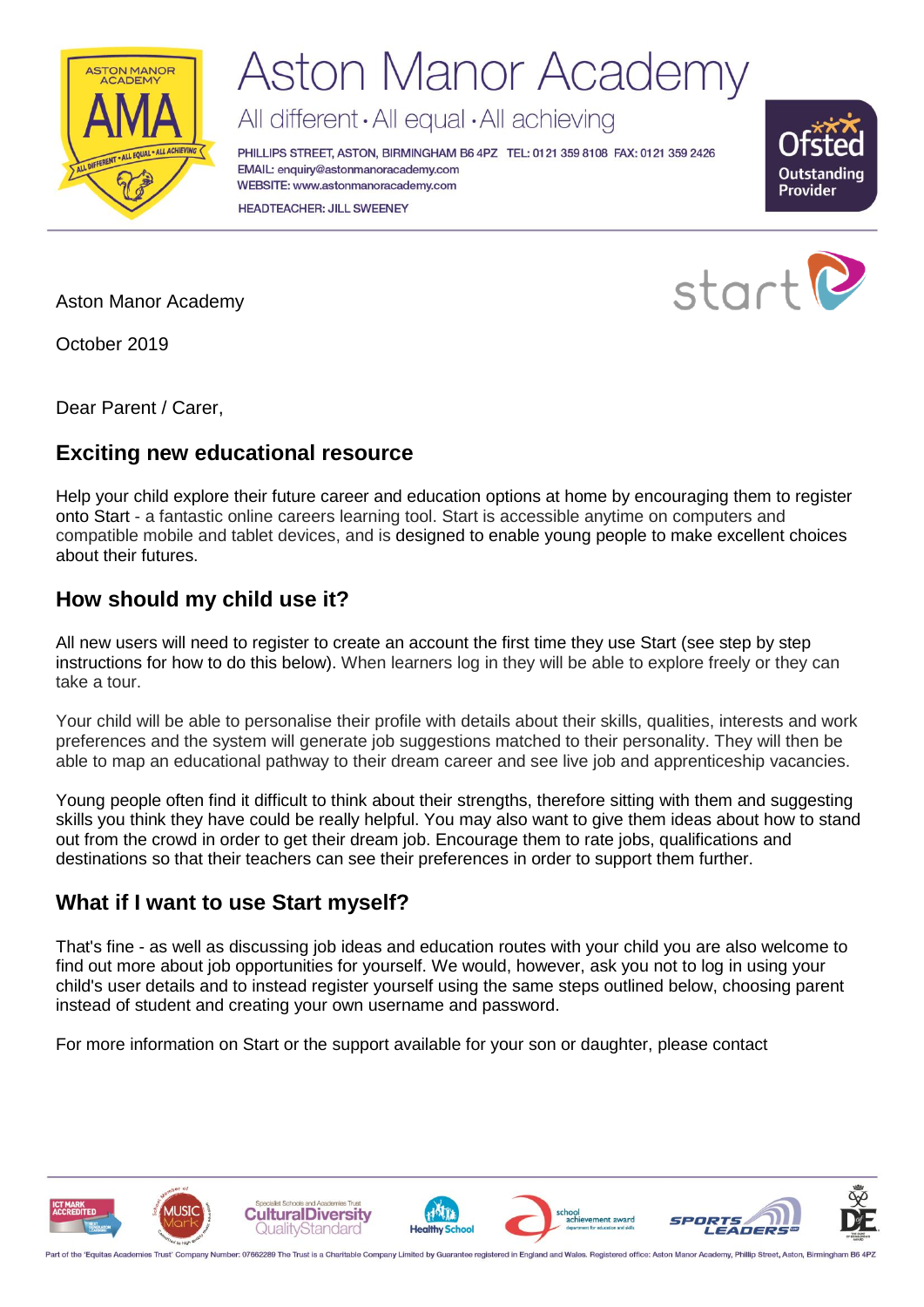

## **Aston Manor Academy**

All different · All equal · All achieving

PHILLIPS STREET, ASTON, BIRMINGHAM B6 4PZ TEL: 0121 359 8108 FAX: 0121 359 2426 EMAIL: enquiry@astonmanoracademy.com WEBSITE: www.astonmanoracademy.com **HEADTEACHER: JILL SWEENEY** 



Aston Manor Academy

October 2019

Dear Parent / Carer,

### **Exciting new educational resource**

Help your child explore their future career and education options at home by encouraging them to register onto Start - a fantastic online careers learning tool. Start is accessible anytime on computers and compatible mobile and tablet devices, and is designed to enable young people to make excellent choices about their futures.

### **How should my child use it?**

All new users will need to register to create an account the first time they use Start (see step by step instructions for how to do this below). When learners log in they will be able to explore freely or they can take a tour.

Your child will be able to personalise their profile with details about their skills, qualities, interests and work preferences and the system will generate job suggestions matched to their personality. They will then be able to map an educational pathway to their dream career and see live job and apprenticeship vacancies.

Young people often find it difficult to think about their strengths, therefore sitting with them and suggesting skills you think they have could be really helpful. You may also want to give them ideas about how to stand out from the crowd in order to get their dream job. Encourage them to rate jobs, qualifications and destinations so that their teachers can see their preferences in order to support them further.

### **What if I want to use Start myself?**

That's fine - as well as discussing job ideas and education routes with your child you are also welcome to find out more about job opportunities for yourself. We would, however, ask you not to log in using your child's user details and to instead register yourself using the same steps outlined below, choosing parent instead of student and creating your own username and password.

For more information on Start or the support available for your son or daughter, please contact